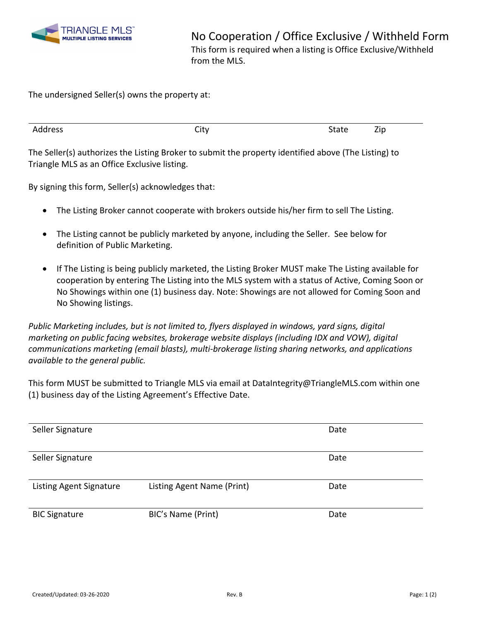

The undersigned Seller(s) owns the property at:

The Seller(s) authorizes the Listing Broker to submit the property identified above (The Listing) to Triangle MLS as an Office Exclusive listing.

By signing this form, Seller(s) acknowledges that:

- The Listing Broker cannot cooperate with brokers outside his/her firm to sell The Listing.
- The Listing cannot be publicly marketed by anyone, including the Seller. See below for definition of Public Marketing.
- If The Listing is being publicly marketed, the Listing Broker MUST make The Listing available for cooperation by entering The Listing into the MLS system with a status of Active, Coming Soon or No Showings within one (1) business day. Note: Showings are not allowed for Coming Soon and No Showing listings.

*Public Marketing includes, but is not limited to, flyers displayed in windows, yard signs, digital marketing on public facing websites, brokerage website displays (including IDX and VOW), digital communications marketing (email blasts), multi-brokerage listing sharing networks, and applications available to the general public.*

This form MUST be submitted to Triangle MLS via email at DataIntegrity@TriangleMLS.com within one (1) business day of the Listing Agreement's Effective Date.

| Seller Signature        |                            | Date |
|-------------------------|----------------------------|------|
|                         |                            |      |
| Seller Signature        |                            | Date |
|                         |                            |      |
| Listing Agent Signature | Listing Agent Name (Print) | Date |
| <b>BIC Signature</b>    | BIC's Name (Print)         | Date |
|                         |                            |      |